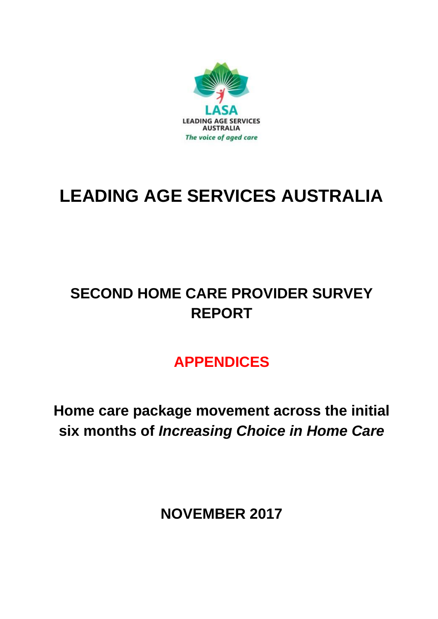

# **LEADING AGE SERVICES AUSTRALIA**

# **SECOND HOME CARE PROVIDER SURVEY REPORT**

# **APPENDICES**

**Home care package movement across the initial six months of** *Increasing Choice in Home Care*

**NOVEMBER 2017**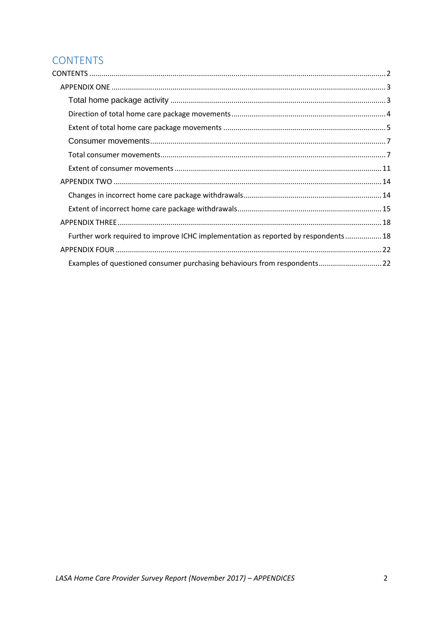# <span id="page-1-0"></span>**CONTENTS**

| Further work required to improve ICHC implementation as reported by respondents 18 |  |
|------------------------------------------------------------------------------------|--|
|                                                                                    |  |
| Examples of questioned consumer purchasing behaviours from respondents 22          |  |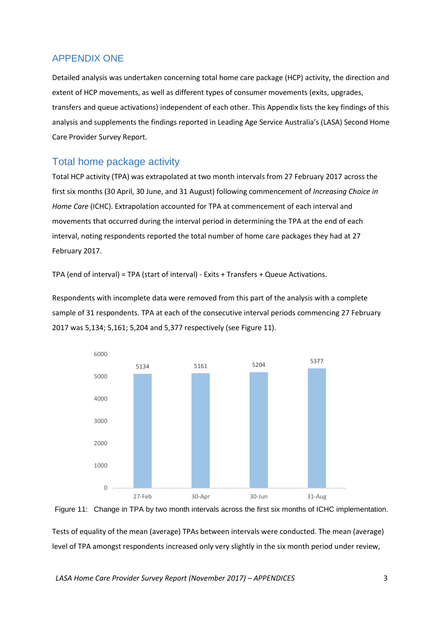# <span id="page-2-0"></span>APPENDIX ONE

Detailed analysis was undertaken concerning total home care package (HCP) activity, the direction and extent of HCP movements, as well as different types of consumer movements (exits, upgrades, transfers and queue activations) independent of each other. This Appendix lists the key findings of this analysis and supplements the findings reported in Leading Age Service Australia's (LASA) Second Home Care Provider Survey Report.

# <span id="page-2-1"></span>Total home package activity

Total HCP activity (TPA) was extrapolated at two month intervals from 27 February 2017 across the first six months (30 April, 30 June, and 31 August) following commencement of *Increasing Choice in Home Care* (ICHC). Extrapolation accounted for TPA at commencement of each interval and movements that occurred during the interval period in determining the TPA at the end of each interval, noting respondents reported the total number of home care packages they had at 27 February 2017.

TPA (end of interval) = TPA (start of interval) - Exits + Transfers + Queue Activations.

Respondents with incomplete data were removed from this part of the analysis with a complete sample of 31 respondents. TPA at each of the consecutive interval periods commencing 27 February 2017 was 5,134; 5,161; 5,204 and 5,377 respectively (see Figure 11).





Tests of equality of the mean (average) TPAs between intervals were conducted. The mean (average) level of TPA amongst respondents increased only very slightly in the six month period under review,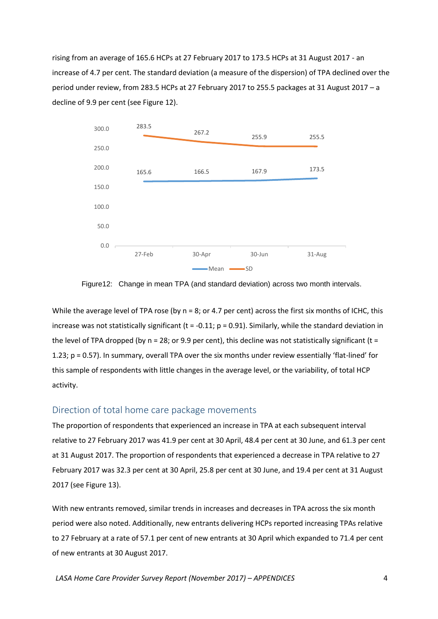rising from an average of 165.6 HCPs at 27 February 2017 to 173.5 HCPs at 31 August 2017 - an increase of 4.7 per cent. The standard deviation (a measure of the dispersion) of TPA declined over the period under review, from 283.5 HCPs at 27 February 2017 to 255.5 packages at 31 August 2017 – a decline of 9.9 per cent (see Figure 12).



Figure12: Change in mean TPA (and standard deviation) across two month intervals.

While the average level of TPA rose (by  $n = 8$ ; or 4.7 per cent) across the first six months of ICHC, this increase was not statistically significant ( $t = -0.11$ ;  $p = 0.91$ ). Similarly, while the standard deviation in the level of TPA dropped (by  $n = 28$ ; or 9.9 per cent), this decline was not statistically significant (t = 1.23; p = 0.57). In summary, overall TPA over the six months under review essentially 'flat-lined' for this sample of respondents with little changes in the average level, or the variability, of total HCP activity.

## <span id="page-3-0"></span>Direction of total home care package movements

The proportion of respondents that experienced an increase in TPA at each subsequent interval relative to 27 February 2017 was 41.9 per cent at 30 April, 48.4 per cent at 30 June, and 61.3 per cent at 31 August 2017. The proportion of respondents that experienced a decrease in TPA relative to 27 February 2017 was 32.3 per cent at 30 April, 25.8 per cent at 30 June, and 19.4 per cent at 31 August 2017 (see Figure 13).

With new entrants removed, similar trends in increases and decreases in TPA across the six month period were also noted. Additionally, new entrants delivering HCPs reported increasing TPAs relative to 27 February at a rate of 57.1 per cent of new entrants at 30 April which expanded to 71.4 per cent of new entrants at 30 August 2017.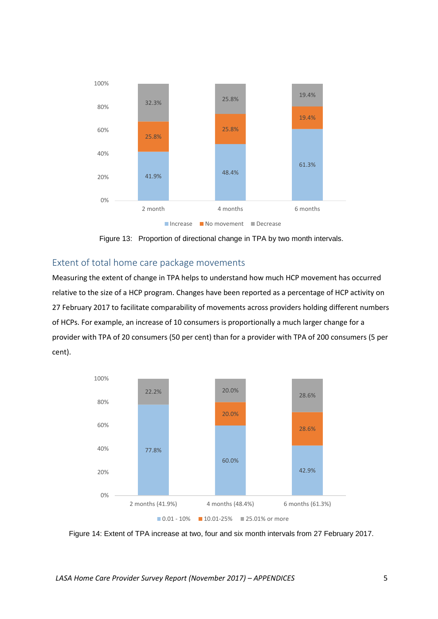

Figure 13: Proportion of directional change in TPA by two month intervals.

## <span id="page-4-0"></span>Extent of total home care package movements

Measuring the extent of change in TPA helps to understand how much HCP movement has occurred relative to the size of a HCP program. Changes have been reported as a percentage of HCP activity on 27 February 2017 to facilitate comparability of movements across providers holding different numbers of HCPs. For example, an increase of 10 consumers is proportionally a much larger change for a provider with TPA of 20 consumers (50 per cent) than for a provider with TPA of 200 consumers (5 per cent).



Figure 14: Extent of TPA increase at two, four and six month intervals from 27 February 2017.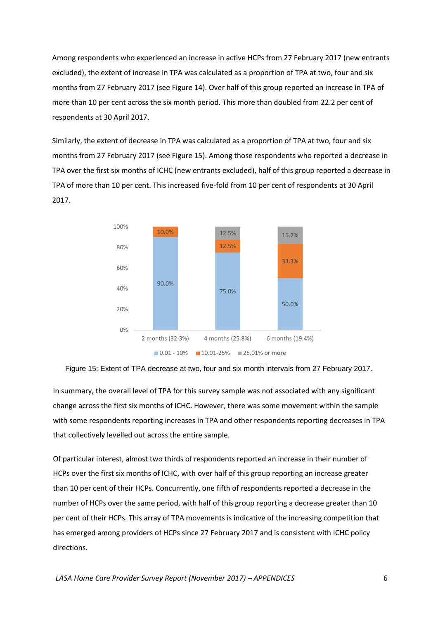Among respondents who experienced an increase in active HCPs from 27 February 2017 (new entrants excluded), the extent of increase in TPA was calculated as a proportion of TPA at two, four and six months from 27 February 2017 (see Figure 14). Over half of this group reported an increase in TPA of more than 10 per cent across the six month period. This more than doubled from 22.2 per cent of respondents at 30 April 2017.

Similarly, the extent of decrease in TPA was calculated as a proportion of TPA at two, four and six months from 27 February 2017 (see Figure 15). Among those respondents who reported a decrease in TPA over the first six months of ICHC (new entrants excluded), half of this group reported a decrease in TPA of more than 10 per cent. This increased five-fold from 10 per cent of respondents at 30 April 2017.



Figure 15: Extent of TPA decrease at two, four and six month intervals from 27 February 2017.

In summary, the overall level of TPA for this survey sample was not associated with any significant change across the first six months of ICHC. However, there was some movement within the sample with some respondents reporting increases in TPA and other respondents reporting decreases in TPA that collectively levelled out across the entire sample.

Of particular interest, almost two thirds of respondents reported an increase in their number of HCPs over the first six months of ICHC, with over half of this group reporting an increase greater than 10 per cent of their HCPs. Concurrently, one fifth of respondents reported a decrease in the number of HCPs over the same period, with half of this group reporting a decrease greater than 10 per cent of their HCPs. This array of TPA movements is indicative of the increasing competition that has emerged among providers of HCPs since 27 February 2017 and is consistent with ICHC policy directions.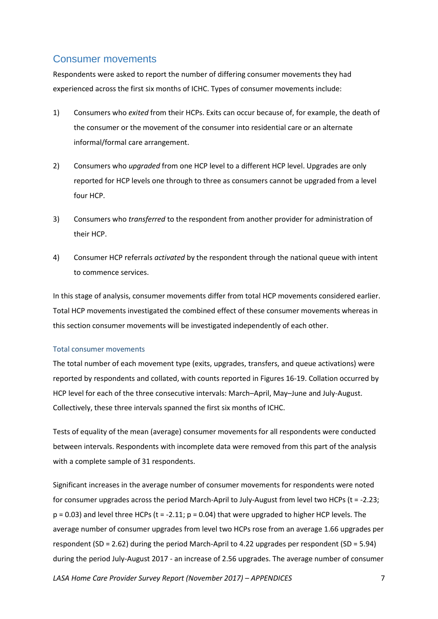# <span id="page-6-0"></span>Consumer movements

Respondents were asked to report the number of differing consumer movements they had experienced across the first six months of ICHC. Types of consumer movements include:

- 1) Consumers who *exited* from their HCPs. Exits can occur because of, for example, the death of the consumer or the movement of the consumer into residential care or an alternate informal/formal care arrangement.
- 2) Consumers who *upgraded* from one HCP level to a different HCP level. Upgrades are only reported for HCP levels one through to three as consumers cannot be upgraded from a level four HCP.
- 3) Consumers who *transferred* to the respondent from another provider for administration of their HCP.
- 4) Consumer HCP referrals *activated* by the respondent through the national queue with intent to commence services.

In this stage of analysis, consumer movements differ from total HCP movements considered earlier. Total HCP movements investigated the combined effect of these consumer movements whereas in this section consumer movements will be investigated independently of each other.

#### <span id="page-6-1"></span>Total consumer movements

The total number of each movement type (exits, upgrades, transfers, and queue activations) were reported by respondents and collated, with counts reported in Figures 16-19. Collation occurred by HCP level for each of the three consecutive intervals: March–April, May–June and July-August. Collectively, these three intervals spanned the first six months of ICHC.

Tests of equality of the mean (average) consumer movements for all respondents were conducted between intervals. Respondents with incomplete data were removed from this part of the analysis with a complete sample of 31 respondents.

Significant increases in the average number of consumer movements for respondents were noted for consumer upgrades across the period March-April to July-August from level two HCPs (t = -2.23;  $p = 0.03$ ) and level three HCPs (t = -2.11;  $p = 0.04$ ) that were upgraded to higher HCP levels. The average number of consumer upgrades from level two HCPs rose from an average 1.66 upgrades per respondent (SD = 2.62) during the period March-April to 4.22 upgrades per respondent (SD = 5.94) during the period July-August 2017 - an increase of 2.56 upgrades. The average number of consumer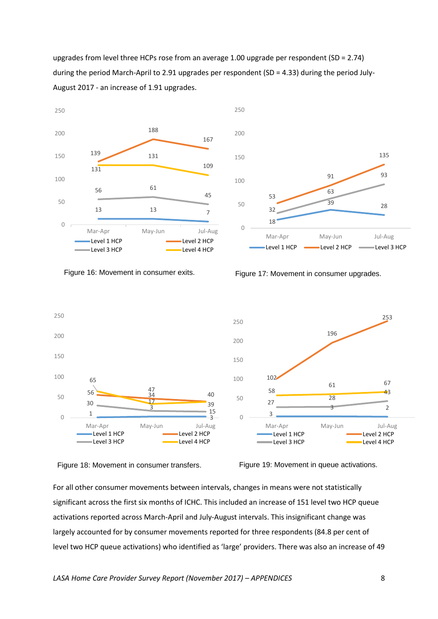upgrades from level three HCPs rose from an average 1.00 upgrade per respondent (SD = 2.74) during the period March-April to 2.91 upgrades per respondent (SD = 4.33) during the period July-August 2017 - an increase of 1.91 upgrades.





Figure 16: Movement in consumer exits.

Figure 17: Movement in consumer upgrades.







For all other consumer movements between intervals, changes in means were not statistically significant across the first six months of ICHC. This included an increase of 151 level two HCP queue activations reported across March-April and July-August intervals. This insignificant change was largely accounted for by consumer movements reported for three respondents (84.8 per cent of level two HCP queue activations) who identified as 'large' providers. There was also an increase of 49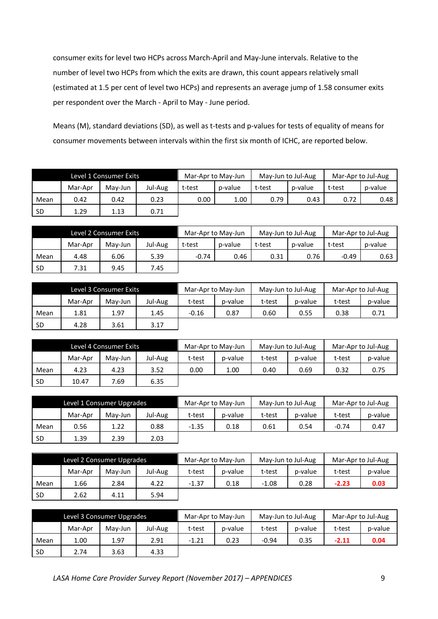consumer exits for level two HCPs across March-April and May-June intervals. Relative to the number of level two HCPs from which the exits are drawn, this count appears relatively small (estimated at 1.5 per cent of level two HCPs) and represents an average jump of 1.58 consumer exits per respondent over the March - April to May - June period.

Means (M), standard deviations (SD), as well as t-tests and p-values for tests of equality of means for consumer movements between intervals within the first six month of ICHC, are reported below.

| Level 1 Consumer Exits |         |         | Mar-Apr to May-Jun |        | May-Jun to Jul-Aug |        | Mar-Apr to Jul-Aug |        |         |
|------------------------|---------|---------|--------------------|--------|--------------------|--------|--------------------|--------|---------|
|                        | Mar-Apr | Mav-Jun | Jul-Aug            | t-test | p-value            | t-test | p-value            | t-test | p-value |
| Mean                   | 0.42    | 0.42    | 0.23               | 0.00   | 1.00               | 0.79   | 0.43               | 0.72   | 0.48    |
| <b>SD</b>              | 1.29    | 1.13    | 0.71               |        |                    |        |                    |        |         |

| Level 2 Consumer Exits |         |         | Mar-Apr to May-Jun |         | May-Jun to Jul-Aug |        | Mar-Apr to Jul-Aug |        |         |
|------------------------|---------|---------|--------------------|---------|--------------------|--------|--------------------|--------|---------|
|                        | Mar-Apr | Mav-Jun | Jul-Aug            | t-test  | p-value            | t-test | p-value            | t-test | p-value |
| Mean                   | 4.48    | 6.06    | 5.39               | $-0.74$ | 0.46               | 0.31   | 0.76               | -0.49  | 0.63    |
| <b>SD</b>              | 7.31    | 9.45    | 7.45               |         |                    |        |                    |        |         |

|           | Level 3 Consumer Exits |         |         | Mar-Apr to May-Jun |         | May-Jun to Jul-Aug |         | Mar-Apr to Jul-Aug |         |
|-----------|------------------------|---------|---------|--------------------|---------|--------------------|---------|--------------------|---------|
|           | Mar-Apr                | Mav-Jun | Jul-Aug | t-test             | p-value | t-test             | p-value | t-test             | p-value |
| Mean      | 1.81                   | 1.97    | 1.45    | $-0.16$            | 0.87    | 0.60               | 0.55    | 0.38               | 0.71    |
| <b>SD</b> | 4.28                   | 3.61    | 3.17    |                    |         |                    |         |                    |         |

|           |         | Level 4 Consumer Exits |         | Mar-Apr to May-Jun |         | May-Jun to Jul-Aug |         | Mar-Apr to Jul-Aug |         |
|-----------|---------|------------------------|---------|--------------------|---------|--------------------|---------|--------------------|---------|
|           | Mar-Apr | May-Jun                | Jul-Aug | t-test             | p-value | t-test             | p-value | t-test             | p-value |
| Mean      | 4.23    | 4.23                   | 3.52    | 0.00               | 1.00    | 0.40               | 0.69    | 0.32               | 0.75    |
| <b>SD</b> | 10.47   | .69                    | 6.35    |                    |         |                    |         |                    |         |

| Level 1 Consumer Upgrades |         |         | Mar-Apr to May-Jun |         | May-Jun to Jul-Aug |        | Mar-Apr to Jul-Aug |         |         |
|---------------------------|---------|---------|--------------------|---------|--------------------|--------|--------------------|---------|---------|
|                           | Mar-Apr | Mav-Jun | Jul-Aug            | t-test  | p-value            | t-test | p-value            | t-test  | p-value |
| Mean                      | 0.56    | 1.22    | 0.88               | $-1.35$ | 0.18               | 0.61   | 0.54               | $-0.74$ | 0.47    |
| <b>SD</b>                 | 1.39    | 2.39    | 2.03               |         |                    |        |                    |         |         |

|           | Level 2 Consumer Upgrades |         |         | Mar-Apr to May-Jun |         | May-Jun to Jul-Aug |         | Mar-Apr to Jul-Aug |         |
|-----------|---------------------------|---------|---------|--------------------|---------|--------------------|---------|--------------------|---------|
|           | Mar-Apr                   | May-Jun | Jul-Aug | t-test             | p-value | t-test             | p-value | t-test             | p-value |
| Mean      | 1.66                      | 2.84    | 4.22    | $-1.37$            | 0.18    | $-1.08$            | 0.28    | $-2.23$            | 0.03    |
| <b>SD</b> | 2.62                      | 4.11    | 5.94    |                    |         |                    |         |                    |         |

|           | Level 3 Consumer Upgrades |         |         | Mar-Apr to May-Jun |         | May-Jun to Jul-Aug |         | Mar-Apr to Jul-Aug |         |
|-----------|---------------------------|---------|---------|--------------------|---------|--------------------|---------|--------------------|---------|
|           | Mar-Apr                   | May-Jun | Jul-Aug | t-test             | p-value | t-test             | p-value | t-test             | p-value |
| Mean      | 1.00                      | 1.97    | 2.91    | $-1.21$            | 0.23    | $-0.94$            | 0.35    | $-2.11$            | 0.04    |
| <b>SD</b> | 2.74                      | 3.63    | 4.33    |                    |         |                    |         |                    |         |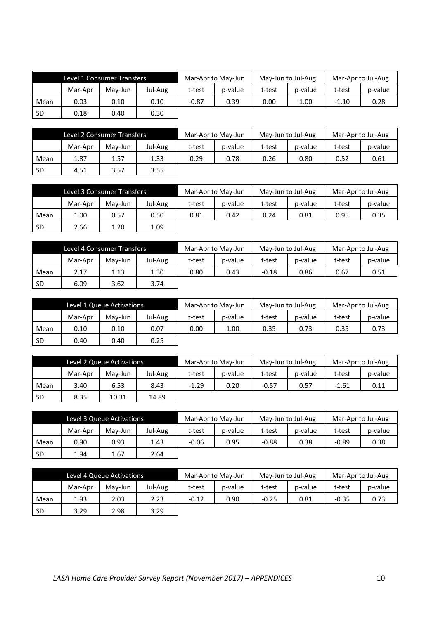|           | Level 1 Consumer Transfers |         |         | Mar-Apr to May-Jun |         | May-Jun to Jul-Aug |         | Mar-Apr to Jul-Aug |         |
|-----------|----------------------------|---------|---------|--------------------|---------|--------------------|---------|--------------------|---------|
|           | Mar-Apr                    | May-Jun | Jul-Aug | t-test             | p-value | t-test             | p-value | t-test             | p-value |
| Mean      | 0.03                       | 0.10    | 0.10    | $-0.87$            | 0.39    | 0.00               | 1.00    | $-1.10$            | 0.28    |
| <b>SD</b> | 0.18                       | 0.40    | 0.30    |                    |         |                    |         |                    |         |

|           | Level 2 Consumer Transfers |         |         | Mar-Apr to May-Jun |         | May-Jun to Jul-Aug |         | Mar-Apr to Jul-Aug |         |
|-----------|----------------------------|---------|---------|--------------------|---------|--------------------|---------|--------------------|---------|
|           | Mar-Apr                    | May-Jun | Jul-Aug | t-test             | p-value | t-test             | p-value | t-test             | p-value |
| Mean      | 1.87                       | 1.57    | 1.33    | 0.29               | 0.78    | 0.26               | 0.80    | 0.52               | 0.61    |
| <b>SD</b> | 4.51                       | 3.57    | 3.55    |                    |         |                    |         |                    |         |

|           | Level 3 Consumer Transfers |         |         | Mar-Apr to May-Jun |         | May-Jun to Jul-Aug |         | Mar-Apr to Jul-Aug |         |
|-----------|----------------------------|---------|---------|--------------------|---------|--------------------|---------|--------------------|---------|
|           | Mar-Apr                    | May-Jun | Jul-Aug | t-test             | p-value | t-test             | p-value | t-test             | p-value |
| Mean      | 1.00                       | 0.57    | 0.50    | 0.81               | 0.42    | 0.24               | 0.81    | 0.95               | 0.35    |
| <b>SD</b> | 2.66                       | 1.20    | 1.09    |                    |         |                    |         |                    |         |

|           | Level 4 Consumer Transfers |         |         | Mar-Apr to May-Jun |         | May-Jun to Jul-Aug |         | Mar-Apr to Jul-Aug |         |
|-----------|----------------------------|---------|---------|--------------------|---------|--------------------|---------|--------------------|---------|
|           | Mar-Apr                    | Mav-Jun | Jul-Aug | t-test             | p-value | t-test             | p-value | t-test             | p-value |
| Mean      | 2.17                       | 1.13    | 1.30    | 0.80               | 0.43    | $-0.18$            | 0.86    | 0.67               | 0.51    |
| <b>SD</b> | 6.09                       | 3.62    | 3.74    |                    |         |                    |         |                    |         |

| Level 1 Queue Activations |         |         | Mar-Apr to May-Jun |        | May-Jun to Jul-Aug |        | Mar-Apr to Jul-Aug |        |         |
|---------------------------|---------|---------|--------------------|--------|--------------------|--------|--------------------|--------|---------|
|                           | Mar-Apr | May-Jun | Jul-Aug            | t-test | p-value            | t-test | p-value            | t-test | p-value |
| Mean                      | 0.10    | 0.10    | 0.07               | 0.00   | 1.00               | 0.35   | 0.73               | 0.35   | 0.73    |
| -SD                       | 0.40    | 0.40    | 0.25               |        |                    |        |                    |        |         |

| Level 2 Queue Activations |         |         | Mar-Apr to May-Jun |         | May-Jun to Jul-Aug |         | Mar-Apr to Jul-Aug |         |         |
|---------------------------|---------|---------|--------------------|---------|--------------------|---------|--------------------|---------|---------|
|                           | Mar-Apr | May-Jun | Jul-Aug            | t-test  | p-value            | t-test  | p-value            | t-test  | p-value |
| Mean                      | 3.40    | 6.53    | 8.43               | $-1.29$ | 0.20               | $-0.57$ | 0.57               | $-1.61$ | 0.11    |
| -SD                       | 8.35    | 10.31   | 14.89              |         |                    |         |                    |         |         |

|           | Level 3 Queue Activations |         |         | Mar-Apr to May-Jun |         | May-Jun to Jul-Aug |         | Mar-Apr to Jul-Aug |         |
|-----------|---------------------------|---------|---------|--------------------|---------|--------------------|---------|--------------------|---------|
|           | Mar-Apr                   | Mav-Jun | Jul-Aug | t-test             | p-value | t-test             | p-value | t-test             | p-value |
| Mean      | 0.90                      | 0.93    | 1.43    | $-0.06$            | 0.95    | $-0.88$            | 0.38    | $-0.89$            | 0.38    |
| <b>SD</b> | 1.94                      | 1.67    | 2.64    |                    |         |                    |         |                    |         |

| Level 4 Queue Activations |         |         | Mar-Apr to May-Jun |         | May-Jun to Jul-Aug |         | Mar-Apr to Jul-Aug |         |         |
|---------------------------|---------|---------|--------------------|---------|--------------------|---------|--------------------|---------|---------|
|                           | Mar-Apr | May-Jun | Jul-Aug            | t-test  | p-value            | t-test  | p-value            | t-test  | p-value |
| Mean                      | 1.93    | 2.03    | 2.23               | $-0.12$ | 0.90               | $-0.25$ | 0.81               | $-0.35$ | 0.73    |
| <b>SD</b>                 | 3.29    | 2.98    | 3.29               |         |                    |         |                    |         |         |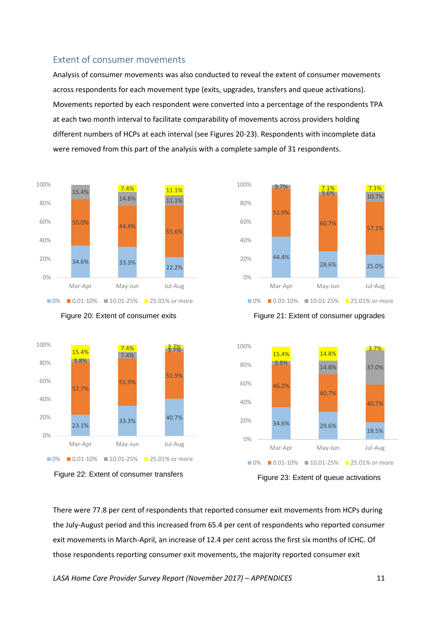## <span id="page-10-0"></span>Extent of consumer movements

Analysis of consumer movements was also conducted to reveal the extent of consumer movements across respondents for each movement type (exits, upgrades, transfers and queue activations). Movements reported by each respondent were converted into a percentage of the respondents TPA at each two month interval to facilitate comparability of movements across providers holding different numbers of HCPs at each interval (see Figures 20-23). Respondents with incomplete data were removed from this part of the analysis with a complete sample of 31 respondents.











Figure 21: Extent of consumer upgrades



Figure 23: Extent of queue activations

There were 77.8 per cent of respondents that reported consumer exit movements from HCPs during the July-August period and this increased from 65.4 per cent of respondents who reported consumer exit movements in March-April, an increase of 12.4 per cent across the first six months of ICHC. Of those respondents reporting consumer exit movements, the majority reported consumer exit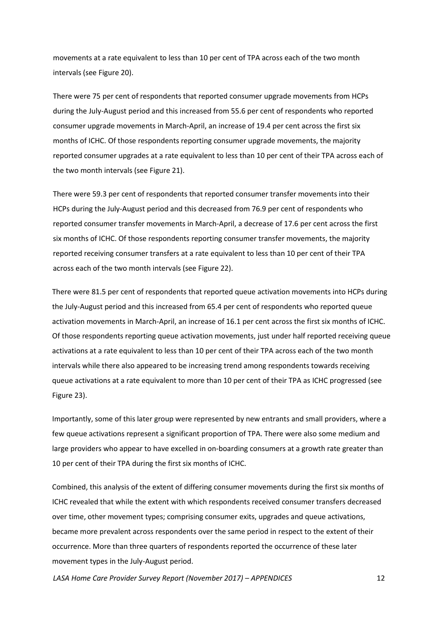movements at a rate equivalent to less than 10 per cent of TPA across each of the two month intervals (see Figure 20).

There were 75 per cent of respondents that reported consumer upgrade movements from HCPs during the July-August period and this increased from 55.6 per cent of respondents who reported consumer upgrade movements in March-April, an increase of 19.4 per cent across the first six months of ICHC. Of those respondents reporting consumer upgrade movements, the majority reported consumer upgrades at a rate equivalent to less than 10 per cent of their TPA across each of the two month intervals (see Figure 21).

There were 59.3 per cent of respondents that reported consumer transfer movements into their HCPs during the July-August period and this decreased from 76.9 per cent of respondents who reported consumer transfer movements in March-April, a decrease of 17.6 per cent across the first six months of ICHC. Of those respondents reporting consumer transfer movements, the majority reported receiving consumer transfers at a rate equivalent to less than 10 per cent of their TPA across each of the two month intervals (see Figure 22).

There were 81.5 per cent of respondents that reported queue activation movements into HCPs during the July-August period and this increased from 65.4 per cent of respondents who reported queue activation movements in March-April, an increase of 16.1 per cent across the first six months of ICHC. Of those respondents reporting queue activation movements, just under half reported receiving queue activations at a rate equivalent to less than 10 per cent of their TPA across each of the two month intervals while there also appeared to be increasing trend among respondents towards receiving queue activations at a rate equivalent to more than 10 per cent of their TPA as ICHC progressed (see Figure 23).

Importantly, some of this later group were represented by new entrants and small providers, where a few queue activations represent a significant proportion of TPA. There were also some medium and large providers who appear to have excelled in on-boarding consumers at a growth rate greater than 10 per cent of their TPA during the first six months of ICHC.

Combined, this analysis of the extent of differing consumer movements during the first six months of ICHC revealed that while the extent with which respondents received consumer transfers decreased over time, other movement types; comprising consumer exits, upgrades and queue activations, became more prevalent across respondents over the same period in respect to the extent of their occurrence. More than three quarters of respondents reported the occurrence of these later movement types in the July-August period.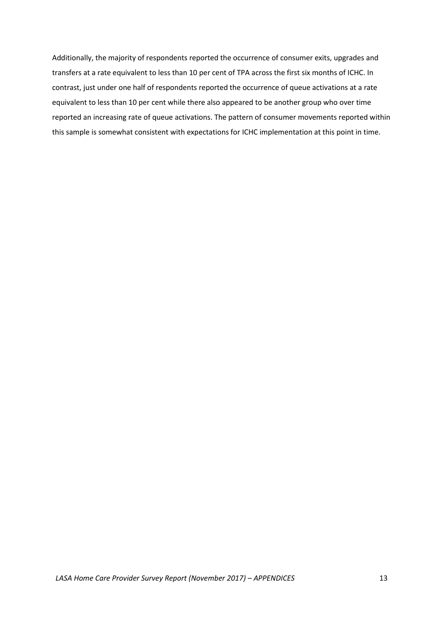Additionally, the majority of respondents reported the occurrence of consumer exits, upgrades and transfers at a rate equivalent to less than 10 per cent of TPA across the first six months of ICHC. In contrast, just under one half of respondents reported the occurrence of queue activations at a rate equivalent to less than 10 per cent while there also appeared to be another group who over time reported an increasing rate of queue activations. The pattern of consumer movements reported within this sample is somewhat consistent with expectations for ICHC implementation at this point in time.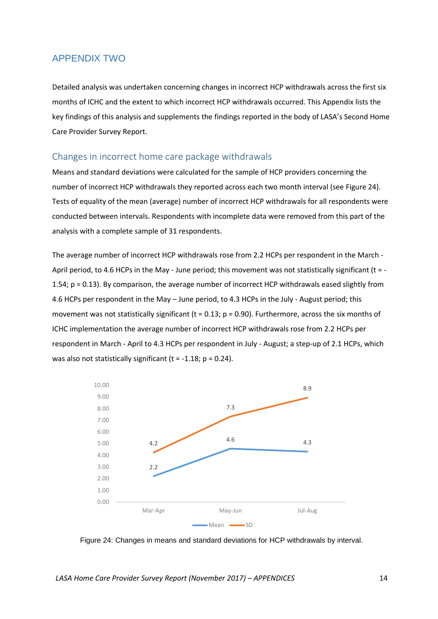## <span id="page-13-0"></span>APPENDIX TWO

Detailed analysis was undertaken concerning changes in incorrect HCP withdrawals across the first six months of ICHC and the extent to which incorrect HCP withdrawals occurred. This Appendix lists the key findings of this analysis and supplements the findings reported in the body of LASA's Second Home Care Provider Survey Report.

### <span id="page-13-1"></span>Changes in incorrect home care package withdrawals

Means and standard deviations were calculated for the sample of HCP providers concerning the number of incorrect HCP withdrawals they reported across each two month interval (see Figure 24). Tests of equality of the mean (average) number of incorrect HCP withdrawals for all respondents were conducted between intervals. Respondents with incomplete data were removed from this part of the analysis with a complete sample of 31 respondents.

The average number of incorrect HCP withdrawals rose from 2.2 HCPs per respondent in the March - April period, to 4.6 HCPs in the May - June period; this movement was not statistically significant (t = -1.54; p = 0.13). By comparison, the average number of incorrect HCP withdrawals eased slightly from 4.6 HCPs per respondent in the May – June period, to 4.3 HCPs in the July - August period; this movement was not statistically significant (t =  $0.13$ ; p =  $0.90$ ). Furthermore, across the six months of ICHC implementation the average number of incorrect HCP withdrawals rose from 2.2 HCPs per respondent in March - April to 4.3 HCPs per respondent in July - August; a step-up of 2.1 HCPs, which was also not statistically significant  $(t = -1.18; p = 0.24)$ .



Figure 24: Changes in means and standard deviations for HCP withdrawals by interval.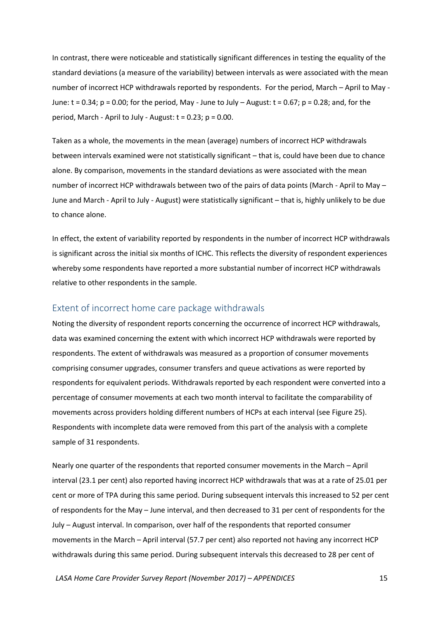In contrast, there were noticeable and statistically significant differences in testing the equality of the standard deviations (a measure of the variability) between intervals as were associated with the mean number of incorrect HCP withdrawals reported by respondents. For the period, March – April to May - June:  $t = 0.34$ ;  $p = 0.00$ ; for the period, May - June to July – August:  $t = 0.67$ ;  $p = 0.28$ ; and, for the period, March - April to July - August:  $t = 0.23$ ;  $p = 0.00$ .

Taken as a whole, the movements in the mean (average) numbers of incorrect HCP withdrawals between intervals examined were not statistically significant – that is, could have been due to chance alone. By comparison, movements in the standard deviations as were associated with the mean number of incorrect HCP withdrawals between two of the pairs of data points (March - April to May – June and March - April to July - August) were statistically significant – that is, highly unlikely to be due to chance alone.

In effect, the extent of variability reported by respondents in the number of incorrect HCP withdrawals is significant across the initial six months of ICHC. This reflects the diversity of respondent experiences whereby some respondents have reported a more substantial number of incorrect HCP withdrawals relative to other respondents in the sample.

## <span id="page-14-0"></span>Extent of incorrect home care package withdrawals

Noting the diversity of respondent reports concerning the occurrence of incorrect HCP withdrawals, data was examined concerning the extent with which incorrect HCP withdrawals were reported by respondents. The extent of withdrawals was measured as a proportion of consumer movements comprising consumer upgrades, consumer transfers and queue activations as were reported by respondents for equivalent periods. Withdrawals reported by each respondent were converted into a percentage of consumer movements at each two month interval to facilitate the comparability of movements across providers holding different numbers of HCPs at each interval (see Figure 25). Respondents with incomplete data were removed from this part of the analysis with a complete sample of 31 respondents.

Nearly one quarter of the respondents that reported consumer movements in the March – April interval (23.1 per cent) also reported having incorrect HCP withdrawals that was at a rate of 25.01 per cent or more of TPA during this same period. During subsequent intervals this increased to 52 per cent of respondents for the May – June interval, and then decreased to 31 per cent of respondents for the July – August interval. In comparison, over half of the respondents that reported consumer movements in the March – April interval (57.7 per cent) also reported not having any incorrect HCP withdrawals during this same period. During subsequent intervals this decreased to 28 per cent of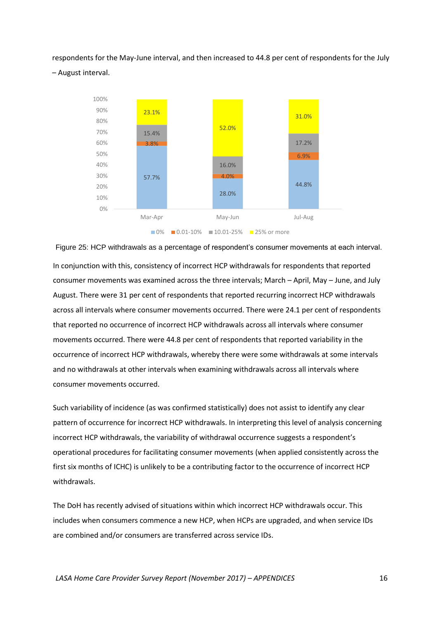respondents for the May-June interval, and then increased to 44.8 per cent of respondents for the July – August interval.



Figure 25: HCP withdrawals as a percentage of respondent's consumer movements at each interval. In conjunction with this, consistency of incorrect HCP withdrawals for respondents that reported consumer movements was examined across the three intervals; March – April, May – June, and July August. There were 31 per cent of respondents that reported recurring incorrect HCP withdrawals across all intervals where consumer movements occurred. There were 24.1 per cent of respondents that reported no occurrence of incorrect HCP withdrawals across all intervals where consumer movements occurred. There were 44.8 per cent of respondents that reported variability in the occurrence of incorrect HCP withdrawals, whereby there were some withdrawals at some intervals and no withdrawals at other intervals when examining withdrawals across all intervals where consumer movements occurred.

Such variability of incidence (as was confirmed statistically) does not assist to identify any clear pattern of occurrence for incorrect HCP withdrawals. In interpreting this level of analysis concerning incorrect HCP withdrawals, the variability of withdrawal occurrence suggests a respondent's operational procedures for facilitating consumer movements (when applied consistently across the first six months of ICHC) is unlikely to be a contributing factor to the occurrence of incorrect HCP withdrawals.

The DoH has recently advised of situations within which incorrect HCP withdrawals occur. This includes when consumers commence a new HCP, when HCPs are upgraded, and when service IDs are combined and/or consumers are transferred across service IDs.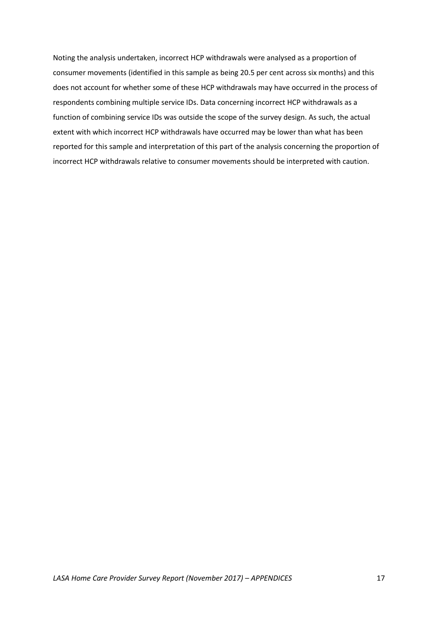Noting the analysis undertaken, incorrect HCP withdrawals were analysed as a proportion of consumer movements (identified in this sample as being 20.5 per cent across six months) and this does not account for whether some of these HCP withdrawals may have occurred in the process of respondents combining multiple service IDs. Data concerning incorrect HCP withdrawals as a function of combining service IDs was outside the scope of the survey design. As such, the actual extent with which incorrect HCP withdrawals have occurred may be lower than what has been reported for this sample and interpretation of this part of the analysis concerning the proportion of incorrect HCP withdrawals relative to consumer movements should be interpreted with caution.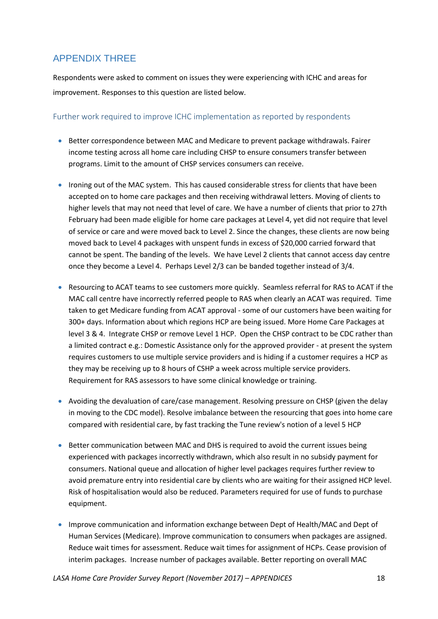# <span id="page-17-0"></span>APPENDIX THREE

Respondents were asked to comment on issues they were experiencing with ICHC and areas for improvement. Responses to this question are listed below.

## <span id="page-17-1"></span>Further work required to improve ICHC implementation as reported by respondents

- Better correspondence between MAC and Medicare to prevent package withdrawals. Fairer income testing across all home care including CHSP to ensure consumers transfer between programs. Limit to the amount of CHSP services consumers can receive.
- Ironing out of the MAC system. This has caused considerable stress for clients that have been accepted on to home care packages and then receiving withdrawal letters. Moving of clients to higher levels that may not need that level of care. We have a number of clients that prior to 27th February had been made eligible for home care packages at Level 4, yet did not require that level of service or care and were moved back to Level 2. Since the changes, these clients are now being moved back to Level 4 packages with unspent funds in excess of \$20,000 carried forward that cannot be spent. The banding of the levels. We have Level 2 clients that cannot access day centre once they become a Level 4. Perhaps Level 2/3 can be banded together instead of 3/4.
- Resourcing to ACAT teams to see customers more quickly. Seamless referral for RAS to ACAT if the MAC call centre have incorrectly referred people to RAS when clearly an ACAT was required. Time taken to get Medicare funding from ACAT approval - some of our customers have been waiting for 300+ days. Information about which regions HCP are being issued. More Home Care Packages at level 3 & 4. Integrate CHSP or remove Level 1 HCP. Open the CHSP contract to be CDC rather than a limited contract e.g.: Domestic Assistance only for the approved provider - at present the system requires customers to use multiple service providers and is hiding if a customer requires a HCP as they may be receiving up to 8 hours of CSHP a week across multiple service providers. Requirement for RAS assessors to have some clinical knowledge or training.
- Avoiding the devaluation of care/case management. Resolving pressure on CHSP (given the delay in moving to the CDC model). Resolve imbalance between the resourcing that goes into home care compared with residential care, by fast tracking the Tune review's notion of a level 5 HCP
- **Better communication between MAC and DHS is required to avoid the current issues being** experienced with packages incorrectly withdrawn, which also result in no subsidy payment for consumers. National queue and allocation of higher level packages requires further review to avoid premature entry into residential care by clients who are waiting for their assigned HCP level. Risk of hospitalisation would also be reduced. Parameters required for use of funds to purchase equipment.
- Improve communication and information exchange between Dept of Health/MAC and Dept of Human Services (Medicare). Improve communication to consumers when packages are assigned. Reduce wait times for assessment. Reduce wait times for assignment of HCPs. Cease provision of interim packages. Increase number of packages available. Better reporting on overall MAC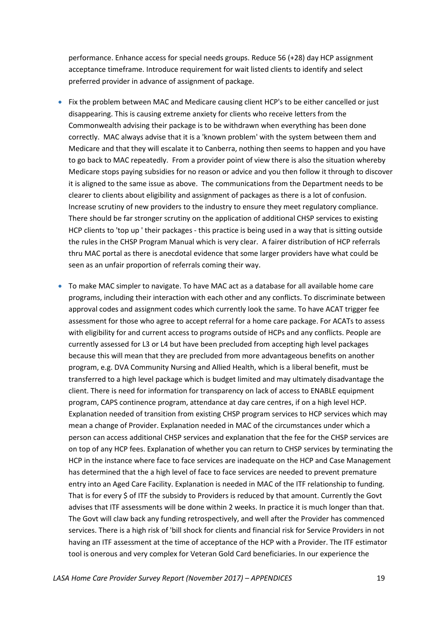performance. Enhance access for special needs groups. Reduce 56 (+28) day HCP assignment acceptance timeframe. Introduce requirement for wait listed clients to identify and select preferred provider in advance of assignment of package.

- Fix the problem between MAC and Medicare causing client HCP's to be either cancelled or just disappearing. This is causing extreme anxiety for clients who receive letters from the Commonwealth advising their package is to be withdrawn when everything has been done correctly. MAC always advise that it is a 'known problem' with the system between them and Medicare and that they will escalate it to Canberra, nothing then seems to happen and you have to go back to MAC repeatedly. From a provider point of view there is also the situation whereby Medicare stops paying subsidies for no reason or advice and you then follow it through to discover it is aligned to the same issue as above. The communications from the Department needs to be clearer to clients about eligibility and assignment of packages as there is a lot of confusion. Increase scrutiny of new providers to the industry to ensure they meet regulatory compliance. There should be far stronger scrutiny on the application of additional CHSP services to existing HCP clients to 'top up ' their packages - this practice is being used in a way that is sitting outside the rules in the CHSP Program Manual which is very clear. A fairer distribution of HCP referrals thru MAC portal as there is anecdotal evidence that some larger providers have what could be seen as an unfair proportion of referrals coming their way.
- To make MAC simpler to navigate. To have MAC act as a database for all available home care programs, including their interaction with each other and any conflicts. To discriminate between approval codes and assignment codes which currently look the same. To have ACAT trigger fee assessment for those who agree to accept referral for a home care package. For ACATs to assess with eligibility for and current access to programs outside of HCPs and any conflicts. People are currently assessed for L3 or L4 but have been precluded from accepting high level packages because this will mean that they are precluded from more advantageous benefits on another program, e.g. DVA Community Nursing and Allied Health, which is a liberal benefit, must be transferred to a high level package which is budget limited and may ultimately disadvantage the client. There is need for information for transparency on lack of access to ENABLE equipment program, CAPS continence program, attendance at day care centres, if on a high level HCP. Explanation needed of transition from existing CHSP program services to HCP services which may mean a change of Provider. Explanation needed in MAC of the circumstances under which a person can access additional CHSP services and explanation that the fee for the CHSP services are on top of any HCP fees. Explanation of whether you can return to CHSP services by terminating the HCP in the instance where face to face services are inadequate on the HCP and Case Management has determined that the a high level of face to face services are needed to prevent premature entry into an Aged Care Facility. Explanation is needed in MAC of the ITF relationship to funding. That is for every \$ of ITF the subsidy to Providers is reduced by that amount. Currently the Govt advises that ITF assessments will be done within 2 weeks. In practice it is much longer than that. The Govt will claw back any funding retrospectively, and well after the Provider has commenced services. There is a high risk of 'bill shock for clients and financial risk for Service Providers in not having an ITF assessment at the time of acceptance of the HCP with a Provider. The ITF estimator tool is onerous and very complex for Veteran Gold Card beneficiaries. In our experience the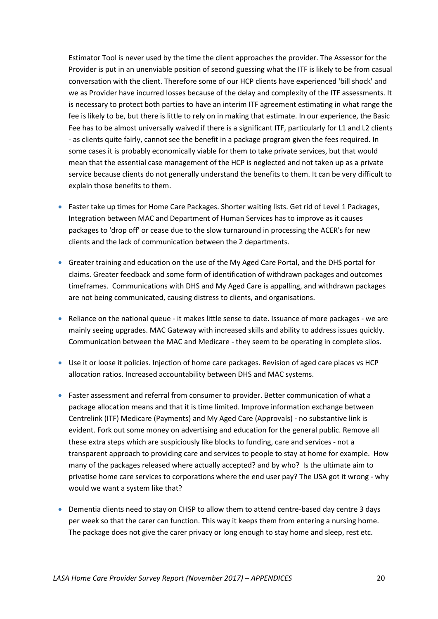Estimator Tool is never used by the time the client approaches the provider. The Assessor for the Provider is put in an unenviable position of second guessing what the ITF is likely to be from casual conversation with the client. Therefore some of our HCP clients have experienced 'bill shock' and we as Provider have incurred losses because of the delay and complexity of the ITF assessments. It is necessary to protect both parties to have an interim ITF agreement estimating in what range the fee is likely to be, but there is little to rely on in making that estimate. In our experience, the Basic Fee has to be almost universally waived if there is a significant ITF, particularly for L1 and L2 clients - as clients quite fairly, cannot see the benefit in a package program given the fees required. In some cases it is probably economically viable for them to take private services, but that would mean that the essential case management of the HCP is neglected and not taken up as a private service because clients do not generally understand the benefits to them. It can be very difficult to explain those benefits to them.

- Faster take up times for Home Care Packages. Shorter waiting lists. Get rid of Level 1 Packages, Integration between MAC and Department of Human Services has to improve as it causes packages to 'drop off' or cease due to the slow turnaround in processing the ACER's for new clients and the lack of communication between the 2 departments.
- Greater training and education on the use of the My Aged Care Portal, and the DHS portal for claims. Greater feedback and some form of identification of withdrawn packages and outcomes timeframes. Communications with DHS and My Aged Care is appalling, and withdrawn packages are not being communicated, causing distress to clients, and organisations.
- Reliance on the national queue it makes little sense to date. Issuance of more packages we are mainly seeing upgrades. MAC Gateway with increased skills and ability to address issues quickly. Communication between the MAC and Medicare - they seem to be operating in complete silos.
- Use it or loose it policies. Injection of home care packages. Revision of aged care places vs HCP allocation ratios. Increased accountability between DHS and MAC systems.
- Faster assessment and referral from consumer to provider. Better communication of what a package allocation means and that it is time limited. Improve information exchange between Centrelink (ITF) Medicare (Payments) and My Aged Care (Approvals) - no substantive link is evident. Fork out some money on advertising and education for the general public. Remove all these extra steps which are suspiciously like blocks to funding, care and services - not a transparent approach to providing care and services to people to stay at home for example. How many of the packages released where actually accepted? and by who? Is the ultimate aim to privatise home care services to corporations where the end user pay? The USA got it wrong - why would we want a system like that?
- Dementia clients need to stay on CHSP to allow them to attend centre-based day centre 3 days per week so that the carer can function. This way it keeps them from entering a nursing home. The package does not give the carer privacy or long enough to stay home and sleep, rest etc.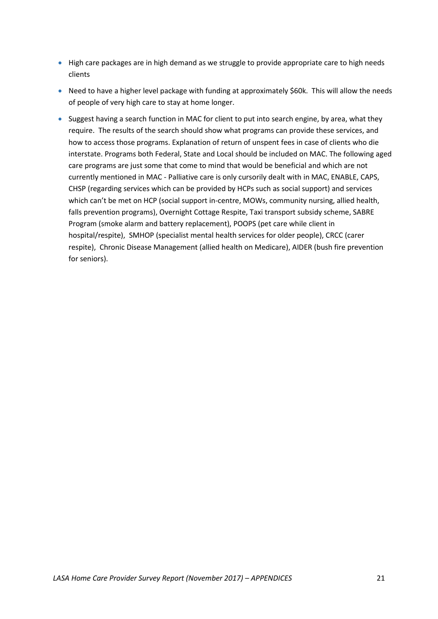- High care packages are in high demand as we struggle to provide appropriate care to high needs clients
- Need to have a higher level package with funding at approximately \$60k. This will allow the needs of people of very high care to stay at home longer.
- Suggest having a search function in MAC for client to put into search engine, by area, what they require. The results of the search should show what programs can provide these services, and how to access those programs. Explanation of return of unspent fees in case of clients who die interstate. Programs both Federal, State and Local should be included on MAC. The following aged care programs are just some that come to mind that would be beneficial and which are not currently mentioned in MAC - Palliative care is only cursorily dealt with in MAC, ENABLE, CAPS, CHSP (regarding services which can be provided by HCPs such as social support) and services which can't be met on HCP (social support in-centre, MOWs, community nursing, allied health, falls prevention programs), Overnight Cottage Respite, Taxi transport subsidy scheme, SABRE Program (smoke alarm and battery replacement), POOPS (pet care while client in hospital/respite), SMHOP (specialist mental health services for older people), CRCC (carer respite), Chronic Disease Management (allied health on Medicare), AIDER (bush fire prevention for seniors).